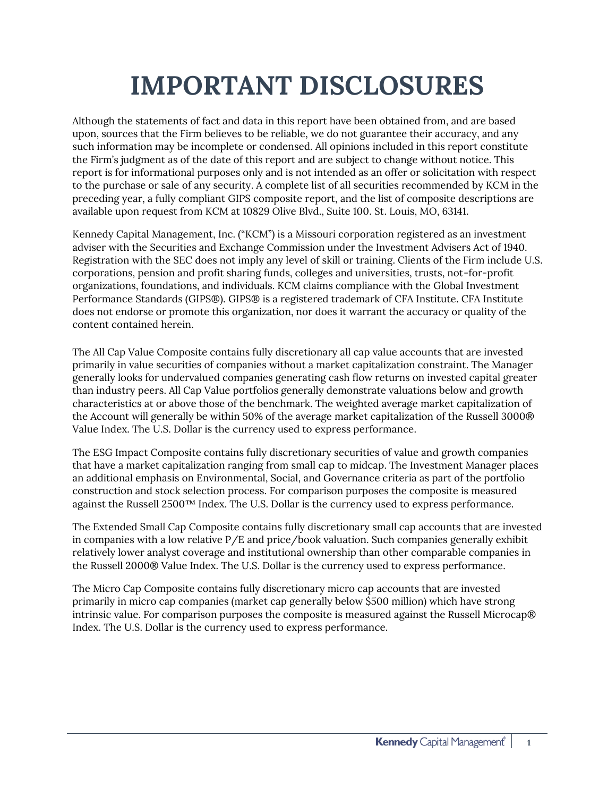## **IMPORTANT DISCLOSURES**

Although the statements of fact and data in this report have been obtained from, and are based upon, sources that the Firm believes to be reliable, we do not guarantee their accuracy, and any such information may be incomplete or condensed. All opinions included in this report constitute the Firm's judgment as of the date of this report and are subject to change without notice. This report is for informational purposes only and is not intended as an offer or solicitation with respect to the purchase or sale of any security. A complete list of all securities recommended by KCM in the preceding year, a fully compliant GIPS composite report, and the list of composite descriptions are available upon request from KCM at 10829 Olive Blvd., Suite 100. St. Louis, MO, 63141.

Kennedy Capital Management, Inc. ("KCM") is a Missouri corporation registered as an investment adviser with the Securities and Exchange Commission under the Investment Advisers Act of 1940. Registration with the SEC does not imply any level of skill or training. Clients of the Firm include U.S. corporations, pension and profit sharing funds, colleges and universities, trusts, not-for-profit organizations, foundations, and individuals. KCM claims compliance with the Global Investment Performance Standards (GIPS®). GIPS® is a registered trademark of CFA Institute. CFA Institute does not endorse or promote this organization, nor does it warrant the accuracy or quality of the content contained herein.

The All Cap Value Composite contains fully discretionary all cap value accounts that are invested primarily in value securities of companies without a market capitalization constraint. The Manager generally looks for undervalued companies generating cash flow returns on invested capital greater than industry peers. All Cap Value portfolios generally demonstrate valuations below and growth characteristics at or above those of the benchmark. The weighted average market capitalization of the Account will generally be within 50% of the average market capitalization of the Russell 3000® Value Index. The U.S. Dollar is the currency used to express performance.

The ESG Impact Composite contains fully discretionary securities of value and growth companies that have a market capitalization ranging from small cap to midcap. The Investment Manager places an additional emphasis on Environmental, Social, and Governance criteria as part of the portfolio construction and stock selection process. For comparison purposes the composite is measured against the Russell 2500™ Index. The U.S. Dollar is the currency used to express performance.

The Extended Small Cap Composite contains fully discretionary small cap accounts that are invested in companies with a low relative P/E and price/book valuation. Such companies generally exhibit relatively lower analyst coverage and institutional ownership than other comparable companies in the Russell 2000® Value Index. The U.S. Dollar is the currency used to express performance.

The Micro Cap Composite contains fully discretionary micro cap accounts that are invested primarily in micro cap companies (market cap generally below \$500 million) which have strong intrinsic value. For comparison purposes the composite is measured against the Russell Microcap® Index. The U.S. Dollar is the currency used to express performance.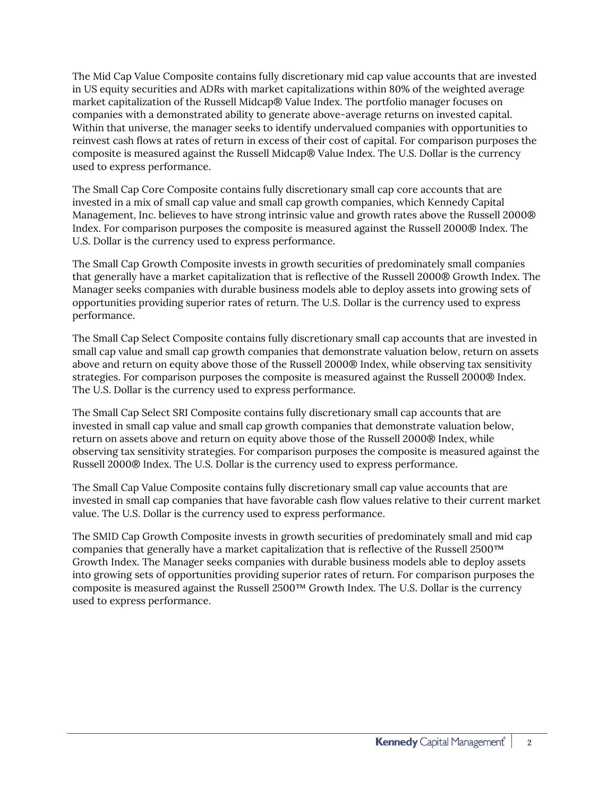The Mid Cap Value Composite contains fully discretionary mid cap value accounts that are invested in US equity securities and ADRs with market capitalizations within 80% of the weighted average market capitalization of the Russell Midcap® Value Index. The portfolio manager focuses on companies with a demonstrated ability to generate above-average returns on invested capital. Within that universe, the manager seeks to identify undervalued companies with opportunities to reinvest cash flows at rates of return in excess of their cost of capital. For comparison purposes the composite is measured against the Russell Midcap® Value Index. The U.S. Dollar is the currency used to express performance.

The Small Cap Core Composite contains fully discretionary small cap core accounts that are invested in a mix of small cap value and small cap growth companies, which Kennedy Capital Management, Inc. believes to have strong intrinsic value and growth rates above the Russell 2000® Index. For comparison purposes the composite is measured against the Russell 2000® Index. The U.S. Dollar is the currency used to express performance.

The Small Cap Growth Composite invests in growth securities of predominately small companies that generally have a market capitalization that is reflective of the Russell 2000® Growth Index. The Manager seeks companies with durable business models able to deploy assets into growing sets of opportunities providing superior rates of return. The U.S. Dollar is the currency used to express performance.

The Small Cap Select Composite contains fully discretionary small cap accounts that are invested in small cap value and small cap growth companies that demonstrate valuation below, return on assets above and return on equity above those of the Russell 2000® Index, while observing tax sensitivity strategies. For comparison purposes the composite is measured against the Russell 2000® Index. The U.S. Dollar is the currency used to express performance.

The Small Cap Select SRI Composite contains fully discretionary small cap accounts that are invested in small cap value and small cap growth companies that demonstrate valuation below, return on assets above and return on equity above those of the Russell 2000® Index, while observing tax sensitivity strategies. For comparison purposes the composite is measured against the Russell 2000® Index. The U.S. Dollar is the currency used to express performance.

The Small Cap Value Composite contains fully discretionary small cap value accounts that are invested in small cap companies that have favorable cash flow values relative to their current market value. The U.S. Dollar is the currency used to express performance.

The SMID Cap Growth Composite invests in growth securities of predominately small and mid cap companies that generally have a market capitalization that is reflective of the Russell 2500™ Growth Index. The Manager seeks companies with durable business models able to deploy assets into growing sets of opportunities providing superior rates of return. For comparison purposes the composite is measured against the Russell 2500™ Growth Index. The U.S. Dollar is the currency used to express performance.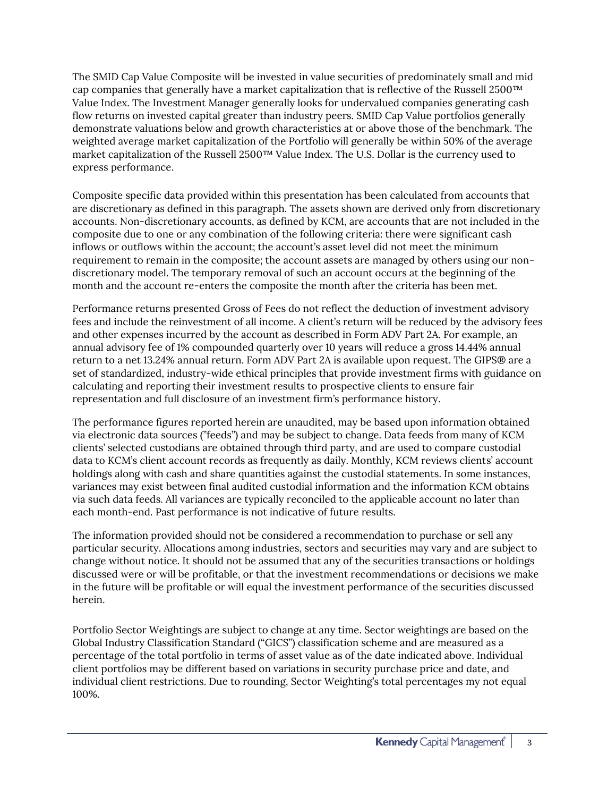The SMID Cap Value Composite will be invested in value securities of predominately small and mid cap companies that generally have a market capitalization that is reflective of the Russell 2500™ Value Index. The Investment Manager generally looks for undervalued companies generating cash flow returns on invested capital greater than industry peers. SMID Cap Value portfolios generally demonstrate valuations below and growth characteristics at or above those of the benchmark. The weighted average market capitalization of the Portfolio will generally be within 50% of the average market capitalization of the Russell 2500™ Value Index. The U.S. Dollar is the currency used to express performance.

Composite specific data provided within this presentation has been calculated from accounts that are discretionary as defined in this paragraph. The assets shown are derived only from discretionary accounts. Non-discretionary accounts, as defined by KCM, are accounts that are not included in the composite due to one or any combination of the following criteria: there were significant cash inflows or outflows within the account; the account's asset level did not meet the minimum requirement to remain in the composite; the account assets are managed by others using our nondiscretionary model. The temporary removal of such an account occurs at the beginning of the month and the account re-enters the composite the month after the criteria has been met.

Performance returns presented Gross of Fees do not reflect the deduction of investment advisory fees and include the reinvestment of all income. A client's return will be reduced by the advisory fees and other expenses incurred by the account as described in Form ADV Part 2A. For example, an annual advisory fee of 1% compounded quarterly over 10 years will reduce a gross 14.44% annual return to a net 13.24% annual return. Form ADV Part 2A is available upon request. The GIPS® are a set of standardized, industry-wide ethical principles that provide investment firms with guidance on calculating and reporting their investment results to prospective clients to ensure fair representation and full disclosure of an investment firm's performance history.

The performance figures reported herein are unaudited, may be based upon information obtained via electronic data sources ("feeds") and may be subject to change. Data feeds from many of KCM clients' selected custodians are obtained through third party, and are used to compare custodial data to KCM's client account records as frequently as daily. Monthly, KCM reviews clients' account holdings along with cash and share quantities against the custodial statements. In some instances, variances may exist between final audited custodial information and the information KCM obtains via such data feeds. All variances are typically reconciled to the applicable account no later than each month-end. Past performance is not indicative of future results.

The information provided should not be considered a recommendation to purchase or sell any particular security. Allocations among industries, sectors and securities may vary and are subject to change without notice. It should not be assumed that any of the securities transactions or holdings discussed were or will be profitable, or that the investment recommendations or decisions we make in the future will be profitable or will equal the investment performance of the securities discussed herein.

Portfolio Sector Weightings are subject to change at any time. Sector weightings are based on the Global Industry Classification Standard ("GICS") classification scheme and are measured as a percentage of the total portfolio in terms of asset value as of the date indicated above. Individual client portfolios may be different based on variations in security purchase price and date, and individual client restrictions. Due to rounding, Sector Weighting's total percentages my not equal 100%.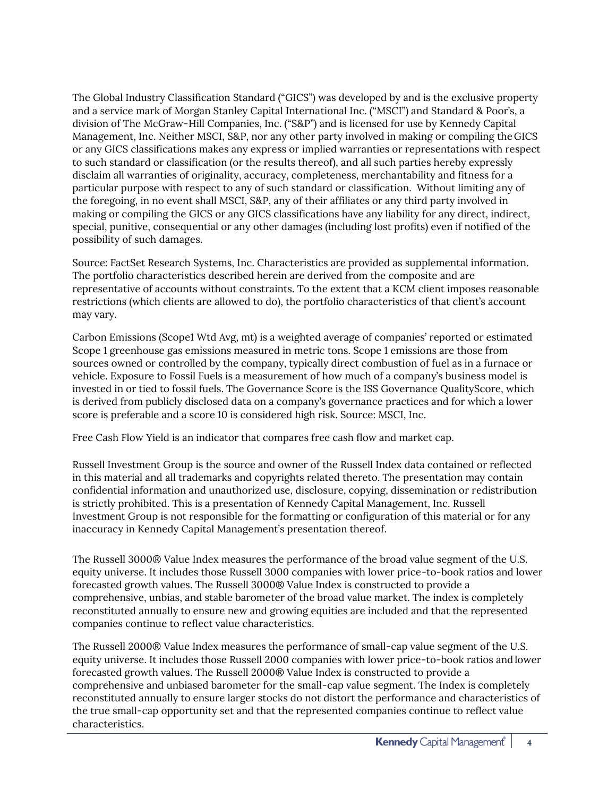The Global Industry Classification Standard ("GICS") was developed by and is the exclusive property and a service mark of Morgan Stanley Capital International Inc. ("MSCI") and Standard & Poor's, a division of The McGraw-Hill Companies, Inc. ("S&P") and is licensed for use by Kennedy Capital Management, Inc. Neither MSCI, S&P, nor any other party involved in making or compiling theGICS or any GICS classifications makes any express or implied warranties or representations with respect to such standard or classification (or the results thereof), and all such parties hereby expressly disclaim all warranties of originality, accuracy, completeness, merchantability and fitness for a particular purpose with respect to any of such standard or classification. Without limiting any of the foregoing, in no event shall MSCI, S&P, any of their affiliates or any third party involved in making or compiling the GICS or any GICS classifications have any liability for any direct, indirect, special, punitive, consequential or any other damages (including lost profits) even if notified of the possibility of such damages.

Source: FactSet Research Systems, Inc. Characteristics are provided as supplemental information. The portfolio characteristics described herein are derived from the composite and are representative of accounts without constraints. To the extent that a KCM client imposes reasonable restrictions (which clients are allowed to do), the portfolio characteristics of that client's account may vary.

Carbon Emissions (Scope1 Wtd Avg, mt) is a weighted average of companies' reported or estimated Scope 1 greenhouse gas emissions measured in metric tons. Scope 1 emissions are those from sources owned or controlled by the company, typically direct combustion of fuel as in a furnace or vehicle. Exposure to Fossil Fuels is a measurement of how much of a company's business model is invested in or tied to fossil fuels. The Governance Score is the ISS Governance QualityScore, which is derived from publicly disclosed data on a company's governance practices and for which a lower score is preferable and a score 10 is considered high risk. Source: MSCI, Inc.

Free Cash Flow Yield is an indicator that compares free cash flow and market cap.

Russell Investment Group is the source and owner of the Russell Index data contained or reflected in this material and all trademarks and copyrights related thereto. The presentation may contain confidential information and unauthorized use, disclosure, copying, dissemination or redistribution is strictly prohibited. This is a presentation of Kennedy Capital Management, Inc. Russell Investment Group is not responsible for the formatting or configuration of this material or for any inaccuracy in Kennedy Capital Management's presentation thereof.

The Russell 3000® Value Index measures the performance of the broad value segment of the U.S. equity universe. It includes those Russell 3000 companies with lower price-to-book ratios and lower forecasted growth values. The Russell 3000® Value Index is constructed to provide a comprehensive, unbias, and stable barometer of the broad value market. The index is completely reconstituted annually to ensure new and growing equities are included and that the represented companies continue to reflect value characteristics.

The Russell 2000® Value Index measures the performance of small-cap value segment of the U.S. equity universe. It includes those Russell 2000 companies with lower price-to-book ratios andlower forecasted growth values. The Russell 2000® Value Index is constructed to provide a comprehensive and unbiased barometer for the small-cap value segment. The Index is completely reconstituted annually to ensure larger stocks do not distort the performance and characteristics of the true small-cap opportunity set and that the represented companies continue to reflect value characteristics.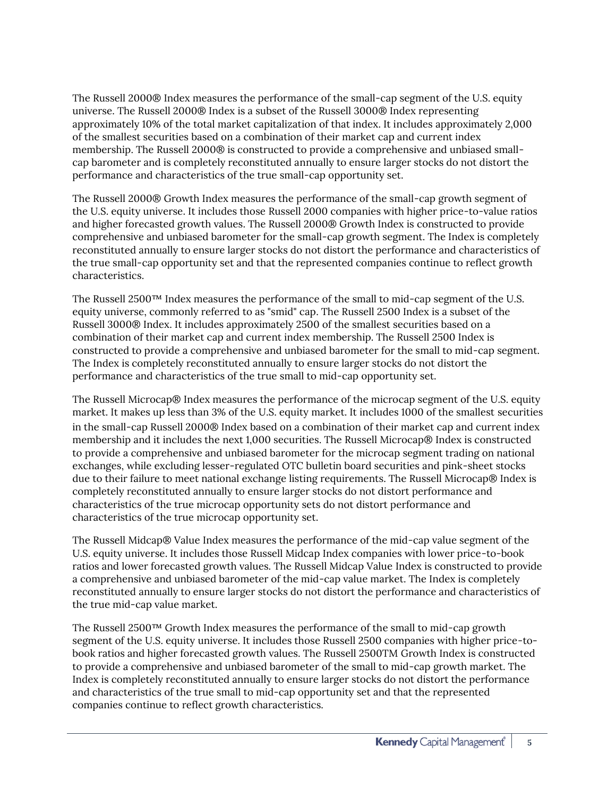The Russell 2000® Index measures the performance of the small-cap segment of the U.S. equity universe. The Russell 2000® Index is a subset of the Russell 3000® Index representing approximately 10% of the total market capitalization of that index. It includes approximately 2,000 of the smallest securities based on a combination of their market cap and current index membership. The Russell 2000® is constructed to provide a comprehensive and unbiased smallcap barometer and is completely reconstituted annually to ensure larger stocks do not distort the performance and characteristics of the true small-cap opportunity set.

The Russell 2000® Growth Index measures the performance of the small-cap growth segment of the U.S. equity universe. It includes those Russell 2000 companies with higher price-to-value ratios and higher forecasted growth values. The Russell 2000® Growth Index is constructed to provide comprehensive and unbiased barometer for the small-cap growth segment. The Index is completely reconstituted annually to ensure larger stocks do not distort the performance and characteristics of the true small-cap opportunity set and that the represented companies continue to reflect growth characteristics.

The Russell 2500™ Index measures the performance of the small to mid-cap segment of the U.S. equity universe, commonly referred to as "smid" cap. The Russell 2500 Index is a subset of the Russell 3000® Index. It includes approximately 2500 of the smallest securities based on a combination of their market cap and current index membership. The Russell 2500 Index is constructed to provide a comprehensive and unbiased barometer for the small to mid-cap segment. The Index is completely reconstituted annually to ensure larger stocks do not distort the performance and characteristics of the true small to mid-cap opportunity set.

The Russell Microcap® Index measures the performance of the microcap segment of the U.S. equity market. It makes up less than 3% of the U.S. equity market. It includes 1000 of the smallest securities in the small-cap Russell 2000® Index based on a combination of their market cap and current index membership and it includes the next 1,000 securities. The Russell Microcap® Index is constructed to provide a comprehensive and unbiased barometer for the microcap segment trading on national exchanges, while excluding lesser-regulated OTC bulletin board securities and pink-sheet stocks due to their failure to meet national exchange listing requirements. The Russell Microcap® Index is completely reconstituted annually to ensure larger stocks do not distort performance and characteristics of the true microcap opportunity sets do not distort performance and characteristics of the true microcap opportunity set.

The Russell Midcap® Value Index measures the performance of the mid-cap value segment of the U.S. equity universe. It includes those Russell Midcap Index companies with lower price-to-book ratios and lower forecasted growth values. The Russell Midcap Value Index is constructed to provide a comprehensive and unbiased barometer of the mid-cap value market. The Index is completely reconstituted annually to ensure larger stocks do not distort the performance and characteristics of the true mid-cap value market.

The Russell 2500™ Growth Index measures the performance of the small to mid-cap growth segment of the U.S. equity universe. It includes those Russell 2500 companies with higher price-tobook ratios and higher forecasted growth values. The Russell 2500TM Growth Index is constructed to provide a comprehensive and unbiased barometer of the small to mid-cap growth market. The Index is completely reconstituted annually to ensure larger stocks do not distort the performance and characteristics of the true small to mid-cap opportunity set and that the represented companies continue to reflect growth characteristics.